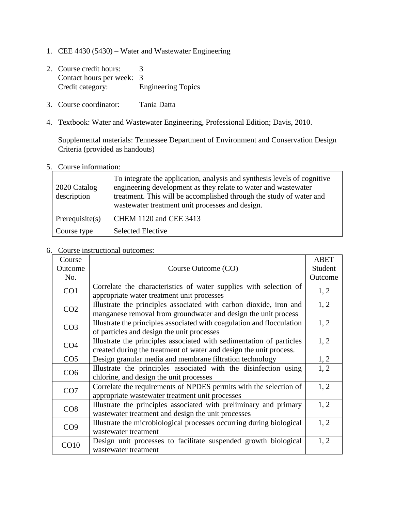- 1. CEE 4430 (5430) Water and Wastewater Engineering
- 2. Course credit hours: 3 Contact hours per week: 3<br>Credit category: E Engineering Topics
- 3. Course coordinator: Tania Datta
- 4. Textbook: Water and Wastewater Engineering, Professional Edition; Davis, 2010.

Supplemental materials: Tennessee Department of Environment and Conservation Design Criteria (provided as handouts)

## 5. Course information:

| 2020 Catalog<br>description | To integrate the application, analysis and synthesis levels of cognitive<br>engineering development as they relate to water and wastewater<br>treatment. This will be accomplished through the study of water and<br>was tewater treatment unit processes and design. |
|-----------------------------|-----------------------------------------------------------------------------------------------------------------------------------------------------------------------------------------------------------------------------------------------------------------------|
| Prerequisite(s)             | CHEM 1120 and CEE 3413                                                                                                                                                                                                                                                |
| Course type                 | <b>Selected Elective</b>                                                                                                                                                                                                                                              |

#### 6. Course instructional outcomes:

| Course          |                                                                        | <b>ABET</b> |
|-----------------|------------------------------------------------------------------------|-------------|
| Outcome         | Course Outcome (CO)                                                    | Student     |
| No.             |                                                                        | Outcome     |
| CO1             | Correlate the characteristics of water supplies with selection of      | 1, 2        |
|                 | appropriate water treatment unit processes                             |             |
| CO <sub>2</sub> | Illustrate the principles associated with carbon dioxide, iron and     | 1, 2        |
|                 | manganese removal from groundwater and design the unit process         |             |
| CO <sub>3</sub> | Illustrate the principles associated with coagulation and flocculation | 1, 2        |
|                 | of particles and design the unit processes                             |             |
| CO <sub>4</sub> | Illustrate the principles associated with sedimentation of particles   | 1, 2        |
|                 | created during the treatment of water and design the unit process.     |             |
| CO <sub>5</sub> | Design granular media and membrane filtration technology               | 1, 2        |
| CO <sub>6</sub> | Illustrate the principles associated with the disinfection using       | 1, 2        |
|                 | chlorine, and design the unit processes                                |             |
| CO7             | Correlate the requirements of NPDES permits with the selection of      | 1, 2        |
|                 | appropriate wastewater treatment unit processes                        |             |
| CO8             | Illustrate the principles associated with preliminary and primary      | 1, 2        |
|                 | wastewater treatment and design the unit processes                     |             |
| CO9             | Illustrate the microbiological processes occurring during biological   | 1, 2        |
|                 | wastewater treatment                                                   |             |
| CO10            | Design unit processes to facilitate suspended growth biological        | 1, 2        |
|                 | wastewater treatment                                                   |             |